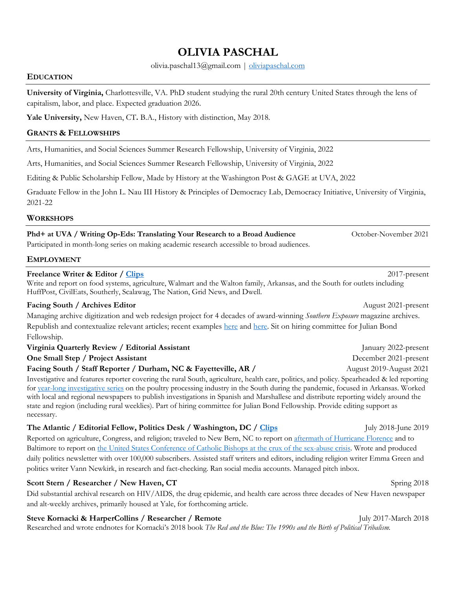# **OLIVIA PASCHAL**

olivia.paschal13@gmail.com | oliviapaschal.com

#### **EDUCATION**

**University of Virginia,** Charlottesville, VA. PhD student studying the rural 20th century United States through the lens of capitalism, labor, and place. Expected graduation 2026.

**Yale University,** New Haven, CT**.** B.A., History with distinction, May 2018.

## **GRANTS & FELLOWSHIPS**

Arts, Humanities, and Social Sciences Summer Research Fellowship, University of Virginia, 2022

Arts, Humanities, and Social Sciences Summer Research Fellowship, University of Virginia, 2022

Editing & Public Scholarship Fellow, Made by History at the Washington Post & GAGE at UVA, 2022

Graduate Fellow in the John L. Nau III History & Principles of Democracy Lab, Democracy Initiative, University of Virginia, 2021-22

#### **WORKSHOPS**

**Phd+ at UVA / Writing Op-Eds: Translating Your Research to a Broad Audience** October-November 2021

Participated in month-long series on making academic research accessible to broad audiences.

## **EMPLOYMENT**

## **Freelance Writer & Editor / Clips** 2017-present

Write and report on food systems, agriculture, Walmart and the Walton family, Arkansas, and the South for outlets including HuffPost, CivilEats, Southerly, Scalawag, The Nation, Grid News, and Dwell.

## **Facing South / Archives Editor** August 2021-present

Managing archive digitization and web redesign project for 4 decades of award-winning *Southern Exposure* magazine archives. Republish and contextualize relevant articles; recent examples here and here. Sit on hiring committee for Julian Bond Fellowship.

| Virginia Quarterly Review / Editorial Assistant                 | January 2022-present    |
|-----------------------------------------------------------------|-------------------------|
| One Small Step / Project Assistant                              | December 2021-present   |
| Facing South / Staff Reporter / Durham, NC & Fayetteville, AR / | August 2019-August 2021 |

Investigative and features reporter covering the rural South, agriculture, health care, politics, and policy. Spearheaded & led reporting for year-long investigative series on the poultry processing industry in the South during the pandemic, focused in Arkansas. Worked with local and regional newspapers to publish investigations in Spanish and Marshallese and distribute reporting widely around the state and region (including rural weeklies). Part of hiring committee for Julian Bond Fellowship. Provide editing support as necessary.

## **The Atlantic** / Editorial Fellow, Politics Desk / Washington, DC / Clips July 2018-June 2019

Reported on agriculture, Congress, and religion; traveled to New Bern, NC to report on aftermath of Hurricane Florence and to Baltimore to report on the United States Conference of Catholic Bishops at the crux of the sex-abuse crisis. Wrote and produced daily politics newsletter with over 100,000 subscribers. Assisted staff writers and editors, including religion writer Emma Green and politics writer Vann Newkirk, in research and fact-checking. Ran social media accounts. Managed pitch inbox.

## **Scott Stern / Researcher / New Haven, CT** Spring 2018

Did substantial archival research on HIV/AIDS, the drug epidemic, and health care across three decades of New Haven newspaper and alt-weekly archives, primarily housed at Yale, for forthcoming article.

## **Steve Kornacki & HarperCollins / Researcher / Remote** July 2017-March 2018

Researched and wrote endnotes for Kornacki's 2018 book *The Red and the Blue: The 1990s and the Birth of Political Tribalism.*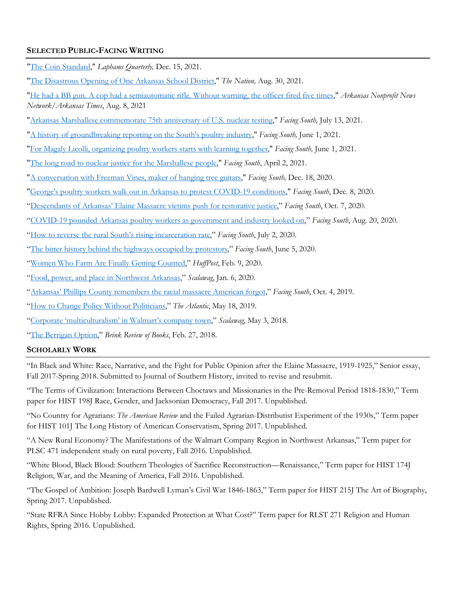# **SELECTED PUBLIC-FACING WRITING**

"The Coin Standard," *Laphams Quarterly,* Dec. 15, 2021.

"The Disastrous Opening of One Arkansas School District," *The Nation,* Aug. 30, 2021.

"He had a BB gun. A cop had a semiautomatic rifle. Without warning, the officer fired five times," *Arkansas Nonprofit News Network/Arkansas Times*, Aug. 8, 2021

"Arkansas Marshallese commemorate 75th anniversary of U.S. nuclear testing," *Facing South,* July 13, 2021.

"A history of groundbreaking reporting on the South's poultry industry," *Facing South,* June 1, 2021.

"For Magaly Licolli, organizing poultry workers starts with learning together," *Facing South,* June 1, 2021.

- "The long road to nuclear justice for the Marshallese people," *Facing South*, April 2, 2021.
- "A conversation with Freeman Vines, maker of hanging tree guitars," *Facing South,* Dec. 18, 2020.

"George's poultry workers walk out in Arkansas to protest COVID-19 conditions," *Facing South*, Dec. 8, 2020.

- "Descendants of Arkansas' Elaine Massacre victims push for restorative justice," *Facing South*, Oct. 7, 2020.
- "COVID-19 pounded Arkansas poultry workers as government and industry looked on," *Facing South*, Aug. 20, 2020.
- "How to reverse the rural South's rising incarceration rate," *Facing South*, July 2, 2020.
- "The bitter history behind the highways occupied by protestors," *Facing South*, June 5, 2020.
- "Women Who Farm Are Finally Getting Counted," *HuffPost*, Feb. 9, 2020.
- "Food, power, and place in Northwest Arkansas," *Scalawag*, Jan. 6, 2020.
- "Arkansas' Phillips County remembers the racial massacre American forgot," *Facing South*, Oct. 4, 2019.

"How to Change Policy Without Politicians," *The Atlantic*, May 18, 2019.

"Corporate 'multiculturalism' in Walmart's company town," *Scalawag*, May 3, 2018.

"The Berrigan Option," *Brink Review of Books*, Feb. 27, 2018.

## **SCHOLARLY WORK**

"In Black and White: Race, Narrative, and the Fight for Public Opinion after the Elaine Massacre, 1919-1925," Senior essay, Fall 2017-Spring 2018. Submitted to Journal of Southern History, invited to revise and resubmit.

"The Terms of Civilization: Interactions Between Choctaws and Missionaries in the Pre-Removal Period 1818-1830," Term paper for HIST 198J Race, Gender, and Jacksonian Democracy, Fall 2017. Unpublished.

"No Country for Agrarians: *The American Review* and the Failed Agrarian-Distributist Experiment of the 1930s," Term paper for HIST 101J The Long History of American Conservatism, Spring 2017. Unpublished.

"A New Rural Economy? The Manifestations of the Walmart Company Region in Northwest Arkansas," Term paper for PLSC 471 independent study on rural poverty, Fall 2016. Unpublished.

"White Blood, Black Blood: Southern Theologies of Sacrifice Reconstruction—Renaissance," Term paper for HIST 174J Religion, War, and the Meaning of America, Fall 2016. Unpublished.

"The Gospel of Ambition: Joseph Bardwell Lyman's Civil War 1846-1863," Term paper for HIST 215J The Art of Biography, Spring 2017. Unpublished.

"State RFRA Since Hobby Lobby: Expanded Protection at What Cost?" Term paper for RLST 271 Religion and Human Rights, Spring 2016. Unpublished.